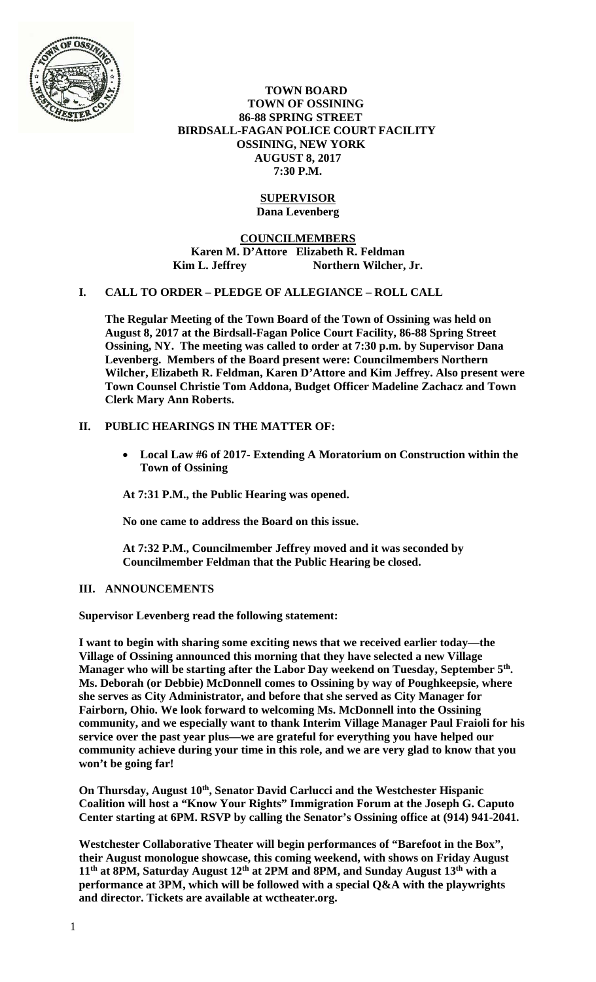

 **TOWN BOARD TOWN OF OSSINING 86-88 SPRING STREET BIRDSALL-FAGAN POLICE COURT FACILITY OSSINING, NEW YORK AUGUST 8, 2017 7:30 P.M.** 

# **SUPERVISOR Dana Levenberg**

**COUNCILMEMBERS Karen M. D'Attore Elizabeth R. Feldman**  Kim L. Jeffrey Northern Wilcher, Jr.

## **I. CALL TO ORDER – PLEDGE OF ALLEGIANCE – ROLL CALL**

**The Regular Meeting of the Town Board of the Town of Ossining was held on August 8, 2017 at the Birdsall-Fagan Police Court Facility, 86-88 Spring Street Ossining, NY. The meeting was called to order at 7:30 p.m. by Supervisor Dana Levenberg. Members of the Board present were: Councilmembers Northern Wilcher, Elizabeth R. Feldman, Karen D'Attore and Kim Jeffrey. Also present were Town Counsel Christie Tom Addona, Budget Officer Madeline Zachacz and Town Clerk Mary Ann Roberts.** 

## **II. PUBLIC HEARINGS IN THE MATTER OF:**

 **Local Law #6 of 2017- Extending A Moratorium on Construction within the Town of Ossining** 

**At 7:31 P.M., the Public Hearing was opened.** 

**No one came to address the Board on this issue.** 

**At 7:32 P.M., Councilmember Jeffrey moved and it was seconded by Councilmember Feldman that the Public Hearing be closed.** 

## **III. ANNOUNCEMENTS**

**Supervisor Levenberg read the following statement:** 

**I want to begin with sharing some exciting news that we received earlier today—the Village of Ossining announced this morning that they have selected a new Village Manager who will be starting after the Labor Day weekend on Tuesday, September 5th. Ms. Deborah (or Debbie) McDonnell comes to Ossining by way of Poughkeepsie, where she serves as City Administrator, and before that she served as City Manager for Fairborn, Ohio. We look forward to welcoming Ms. McDonnell into the Ossining community, and we especially want to thank Interim Village Manager Paul Fraioli for his service over the past year plus—we are grateful for everything you have helped our community achieve during your time in this role, and we are very glad to know that you won't be going far!** 

**On Thursday, August 10<sup>th</sup>, Senator David Carlucci and the Westchester Hispanic Coalition will host a "Know Your Rights" Immigration Forum at the Joseph G. Caputo Center starting at 6PM. RSVP by calling the Senator's Ossining office at (914) 941-2041.** 

**Westchester Collaborative Theater will begin performances of "Barefoot in the Box", their August monologue showcase, this coming weekend, with shows on Friday August 11th at 8PM, Saturday August 12th at 2PM and 8PM, and Sunday August 13th with a performance at 3PM, which will be followed with a special Q&A with the playwrights and director. Tickets are available at wctheater.org.**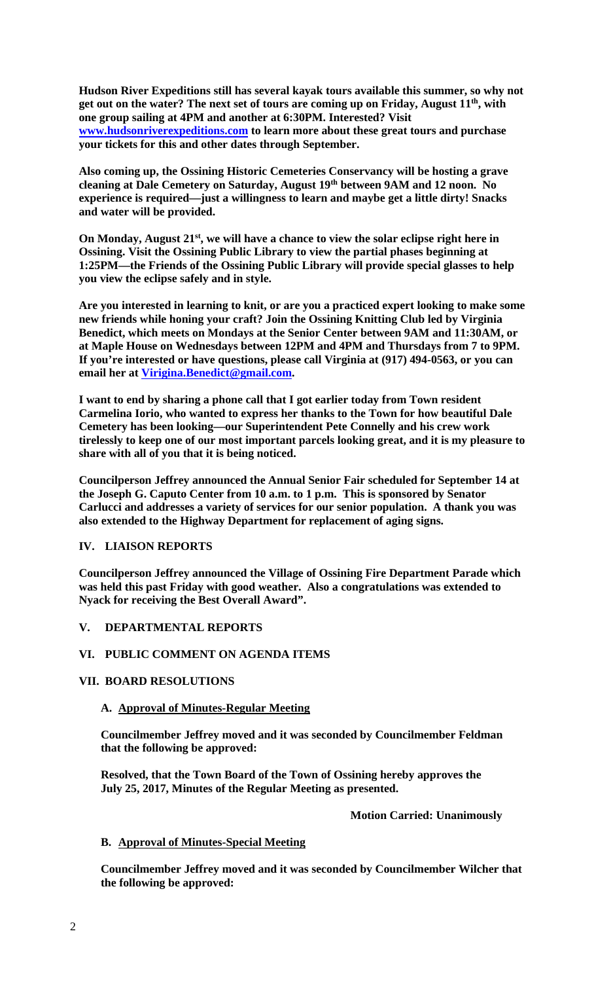**Hudson River Expeditions still has several kayak tours available this summer, so why not get out on the water? The next set of tours are coming up on Friday, August 11th, with one group sailing at 4PM and another at 6:30PM. Interested? Visit www.hudsonriverexpeditions.com to learn more about these great tours and purchase your tickets for this and other dates through September.** 

**Also coming up, the Ossining Historic Cemeteries Conservancy will be hosting a grave cleaning at Dale Cemetery on Saturday, August 19th between 9AM and 12 noon. No experience is required—just a willingness to learn and maybe get a little dirty! Snacks and water will be provided.** 

**On Monday, August 21st, we will have a chance to view the solar eclipse right here in Ossining. Visit the Ossining Public Library to view the partial phases beginning at 1:25PM—the Friends of the Ossining Public Library will provide special glasses to help you view the eclipse safely and in style.** 

**Are you interested in learning to knit, or are you a practiced expert looking to make some new friends while honing your craft? Join the Ossining Knitting Club led by Virginia Benedict, which meets on Mondays at the Senior Center between 9AM and 11:30AM, or at Maple House on Wednesdays between 12PM and 4PM and Thursdays from 7 to 9PM. If you're interested or have questions, please call Virginia at (917) 494-0563, or you can email her at Virigina.Benedict@gmail.com.** 

**I want to end by sharing a phone call that I got earlier today from Town resident Carmelina Iorio, who wanted to express her thanks to the Town for how beautiful Dale Cemetery has been looking—our Superintendent Pete Connelly and his crew work tirelessly to keep one of our most important parcels looking great, and it is my pleasure to share with all of you that it is being noticed.** 

**Councilperson Jeffrey announced the Annual Senior Fair scheduled for September 14 at the Joseph G. Caputo Center from 10 a.m. to 1 p.m. This is sponsored by Senator Carlucci and addresses a variety of services for our senior population. A thank you was also extended to the Highway Department for replacement of aging signs.** 

## **IV. LIAISON REPORTS**

**Councilperson Jeffrey announced the Village of Ossining Fire Department Parade which was held this past Friday with good weather. Also a congratulations was extended to Nyack for receiving the Best Overall Award".** 

# **V. DEPARTMENTAL REPORTS**

## **VI. PUBLIC COMMENT ON AGENDA ITEMS**

## **VII. BOARD RESOLUTIONS**

## **A. Approval of Minutes-Regular Meeting**

**Councilmember Jeffrey moved and it was seconded by Councilmember Feldman that the following be approved:** 

**Resolved, that the Town Board of the Town of Ossining hereby approves the July 25, 2017, Minutes of the Regular Meeting as presented.** 

 **Motion Carried: Unanimously** 

# **B. Approval of Minutes-Special Meeting**

**Councilmember Jeffrey moved and it was seconded by Councilmember Wilcher that the following be approved:**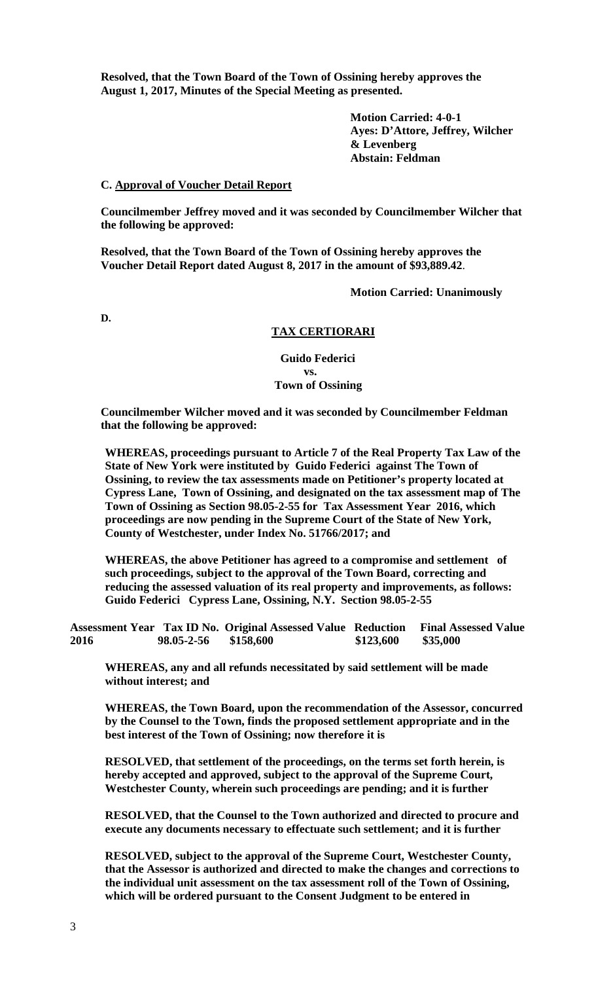**Resolved, that the Town Board of the Town of Ossining hereby approves the August 1, 2017, Minutes of the Special Meeting as presented.** 

> **Motion Carried: 4-0-1 Ayes: D'Attore, Jeffrey, Wilcher & Levenberg Abstain: Feldman**

#### **C. Approval of Voucher Detail Report**

**Councilmember Jeffrey moved and it was seconded by Councilmember Wilcher that the following be approved:** 

**Resolved, that the Town Board of the Town of Ossining hereby approves the Voucher Detail Report dated August 8, 2017 in the amount of \$93,889.42**.

 **Motion Carried: Unanimously** 

**D.** 

## **TAX CERTIORARI**

 **Guido Federici vs. Town of Ossining** 

> **Councilmember Wilcher moved and it was seconded by Councilmember Feldman that the following be approved:**

**WHEREAS, proceedings pursuant to Article 7 of the Real Property Tax Law of the State of New York were instituted by Guido Federici against The Town of Ossining, to review the tax assessments made on Petitioner's property located at Cypress Lane, Town of Ossining, and designated on the tax assessment map of The Town of Ossining as Section 98.05-2-55 for Tax Assessment Year 2016, which proceedings are now pending in the Supreme Court of the State of New York, County of Westchester, under Index No. 51766/2017; and** 

**WHEREAS, the above Petitioner has agreed to a compromise and settlement of such proceedings, subject to the approval of the Town Board, correcting and reducing the assessed valuation of its real property and improvements, as follows: Guido Federici Cypress Lane, Ossining, N.Y. Section 98.05-2-55** 

**Assessment Year Tax ID No. Original Assessed Value Reduction Final Assessed Value 2016 98.05-2-56 \$158,600 \$123,600 \$35,000** 

**WHEREAS, any and all refunds necessitated by said settlement will be made without interest; and** 

**WHEREAS, the Town Board, upon the recommendation of the Assessor, concurred by the Counsel to the Town, finds the proposed settlement appropriate and in the best interest of the Town of Ossining; now therefore it is** 

**RESOLVED, that settlement of the proceedings, on the terms set forth herein, is hereby accepted and approved, subject to the approval of the Supreme Court, Westchester County, wherein such proceedings are pending; and it is further** 

**RESOLVED, that the Counsel to the Town authorized and directed to procure and execute any documents necessary to effectuate such settlement; and it is further** 

**RESOLVED, subject to the approval of the Supreme Court, Westchester County, that the Assessor is authorized and directed to make the changes and corrections to the individual unit assessment on the tax assessment roll of the Town of Ossining, which will be ordered pursuant to the Consent Judgment to be entered in**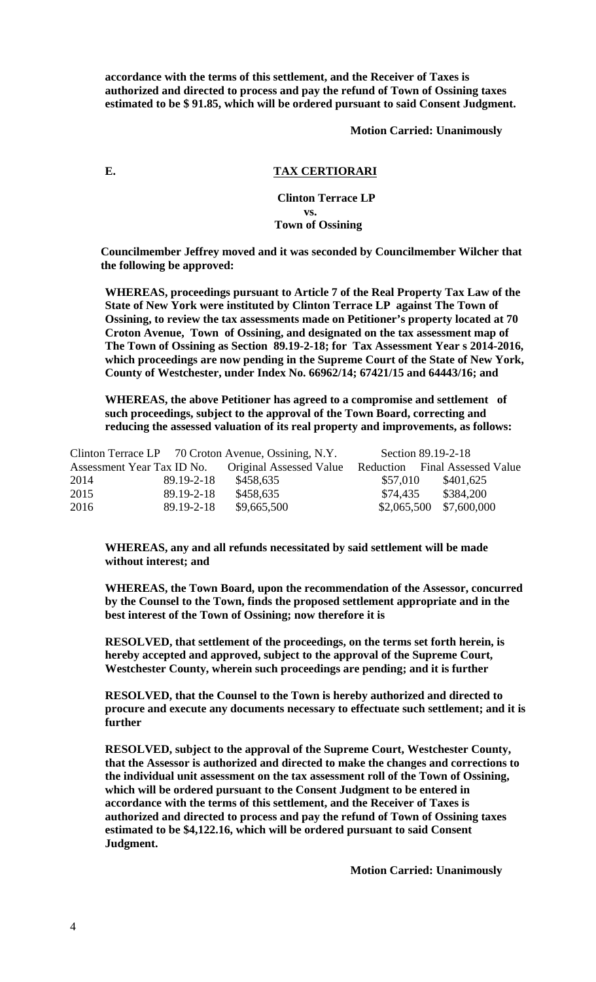**accordance with the terms of this settlement, and the Receiver of Taxes is authorized and directed to process and pay the refund of Town of Ossining taxes estimated to be \$ 91.85, which will be ordered pursuant to said Consent Judgment.** 

 **Motion Carried: Unanimously** 

# **E. TAX CERTIORARI**

## **Clinton Terrace LP vs. Town of Ossining**

**Councilmember Jeffrey moved and it was seconded by Councilmember Wilcher that the following be approved:** 

**WHEREAS, proceedings pursuant to Article 7 of the Real Property Tax Law of the State of New York were instituted by Clinton Terrace LP against The Town of Ossining, to review the tax assessments made on Petitioner's property located at 70 Croton Avenue, Town of Ossining, and designated on the tax assessment map of The Town of Ossining as Section 89.19-2-18; for Tax Assessment Year s 2014-2016, which proceedings are now pending in the Supreme Court of the State of New York, County of Westchester, under Index No. 66962/14; 67421/15 and 64443/16; and** 

**WHEREAS, the above Petitioner has agreed to a compromise and settlement of such proceedings, subject to the approval of the Town Board, correcting and reducing the assessed valuation of its real property and improvements, as follows:** 

|      |            | Clinton Terrace LP 70 Croton Avenue, Ossining, N.Y. |          | Section 89.19-2-18             |
|------|------------|-----------------------------------------------------|----------|--------------------------------|
|      |            | Assessment Year Tax ID No. Original Assessed Value  |          | Reduction Final Assessed Value |
| 2014 | 89.19-2-18 | \$458,635                                           | \$57,010 | \$401,625                      |
| 2015 | 89.19-2-18 | \$458,635                                           | \$74,435 | \$384,200                      |
| 2016 | 89.19-2-18 | \$9,665,500                                         |          | $$2,065,500$ $$7,600,000$      |

**WHEREAS, any and all refunds necessitated by said settlement will be made without interest; and** 

**WHEREAS, the Town Board, upon the recommendation of the Assessor, concurred by the Counsel to the Town, finds the proposed settlement appropriate and in the best interest of the Town of Ossining; now therefore it is** 

**RESOLVED, that settlement of the proceedings, on the terms set forth herein, is hereby accepted and approved, subject to the approval of the Supreme Court, Westchester County, wherein such proceedings are pending; and it is further** 

**RESOLVED, that the Counsel to the Town is hereby authorized and directed to procure and execute any documents necessary to effectuate such settlement; and it is further** 

**RESOLVED, subject to the approval of the Supreme Court, Westchester County, that the Assessor is authorized and directed to make the changes and corrections to the individual unit assessment on the tax assessment roll of the Town of Ossining, which will be ordered pursuant to the Consent Judgment to be entered in accordance with the terms of this settlement, and the Receiver of Taxes is authorized and directed to process and pay the refund of Town of Ossining taxes estimated to be \$4,122.16, which will be ordered pursuant to said Consent Judgment.** 

 **Motion Carried: Unanimously**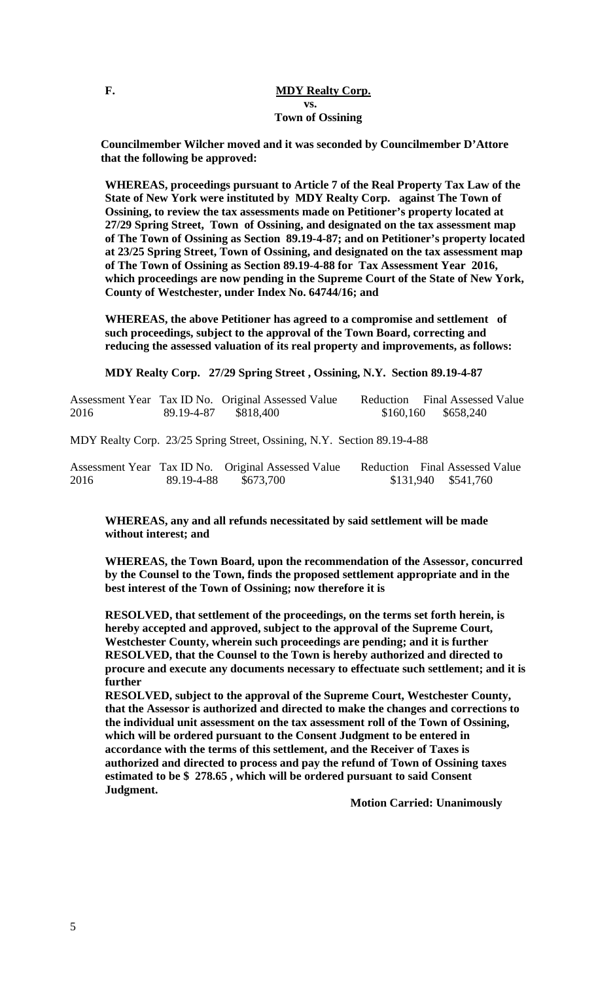## **F. MDY Realty Corp. vs. Town of Ossining**

**Councilmember Wilcher moved and it was seconded by Councilmember D'Attore that the following be approved:** 

**WHEREAS, proceedings pursuant to Article 7 of the Real Property Tax Law of the State of New York were instituted by MDY Realty Corp. against The Town of Ossining, to review the tax assessments made on Petitioner's property located at 27/29 Spring Street, Town of Ossining, and designated on the tax assessment map of The Town of Ossining as Section 89.19-4-87; and on Petitioner's property located at 23/25 Spring Street, Town of Ossining, and designated on the tax assessment map of The Town of Ossining as Section 89.19-4-88 for Tax Assessment Year 2016, which proceedings are now pending in the Supreme Court of the State of New York, County of Westchester, under Index No. 64744/16; and** 

**WHEREAS, the above Petitioner has agreed to a compromise and settlement of such proceedings, subject to the approval of the Town Board, correcting and reducing the assessed valuation of its real property and improvements, as follows:** 

**MDY Realty Corp. 27/29 Spring Street , Ossining, N.Y. Section 89.19-4-87** 

|      |            | Assessment Year Tax ID No. Original Assessed Value                      | Reduction Final Assessed Value |
|------|------------|-------------------------------------------------------------------------|--------------------------------|
| 2016 | 89.19-4-87 | \$818.400                                                               | $$160,160$ $$658,240$          |
|      |            |                                                                         |                                |
|      |            | MDY Realty Corp. 23/25 Spring Street, Ossining, N.Y. Section 89.19-4-88 |                                |

|      |            | Assessment Year Tax ID No. Original Assessed Value | Reduction Final Assessed Value |                     |  |
|------|------------|----------------------------------------------------|--------------------------------|---------------------|--|
| 2016 | 89.19-4-88 | \$673,700                                          |                                | \$131,940 \$541,760 |  |

**WHEREAS, any and all refunds necessitated by said settlement will be made without interest; and** 

**WHEREAS, the Town Board, upon the recommendation of the Assessor, concurred by the Counsel to the Town, finds the proposed settlement appropriate and in the best interest of the Town of Ossining; now therefore it is** 

**RESOLVED, that settlement of the proceedings, on the terms set forth herein, is hereby accepted and approved, subject to the approval of the Supreme Court, Westchester County, wherein such proceedings are pending; and it is further RESOLVED, that the Counsel to the Town is hereby authorized and directed to procure and execute any documents necessary to effectuate such settlement; and it is further** 

**RESOLVED, subject to the approval of the Supreme Court, Westchester County, that the Assessor is authorized and directed to make the changes and corrections to the individual unit assessment on the tax assessment roll of the Town of Ossining, which will be ordered pursuant to the Consent Judgment to be entered in accordance with the terms of this settlement, and the Receiver of Taxes is authorized and directed to process and pay the refund of Town of Ossining taxes estimated to be \$ 278.65 , which will be ordered pursuant to said Consent Judgment.** 

 **Motion Carried: Unanimously**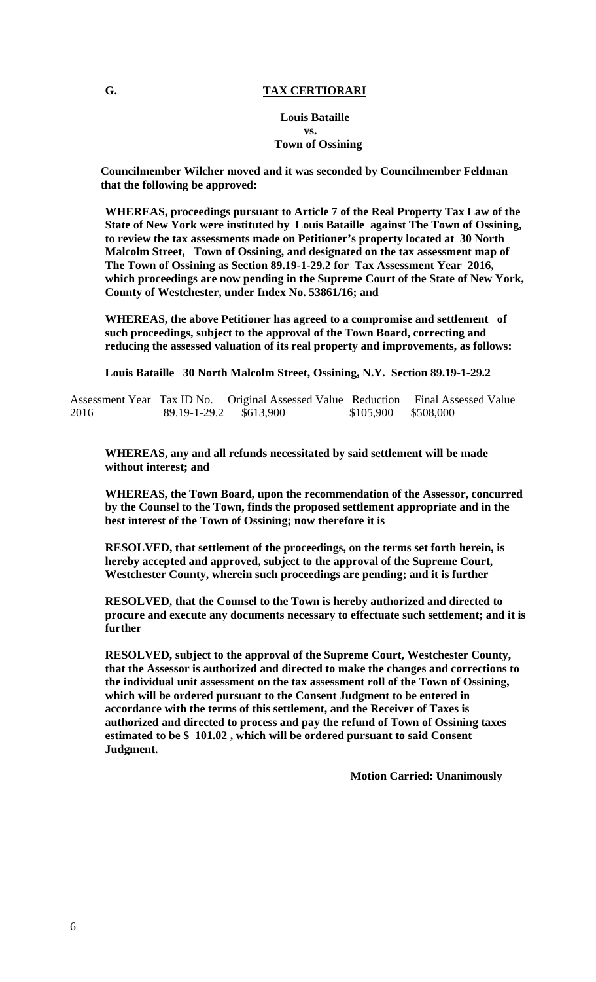## **G. TAX CERTIORARI**

#### **Louis Bataille vs. Town of Ossining**

**Councilmember Wilcher moved and it was seconded by Councilmember Feldman that the following be approved:** 

**WHEREAS, proceedings pursuant to Article 7 of the Real Property Tax Law of the State of New York were instituted by Louis Bataille against The Town of Ossining, to review the tax assessments made on Petitioner's property located at 30 North Malcolm Street, Town of Ossining, and designated on the tax assessment map of The Town of Ossining as Section 89.19-1-29.2 for Tax Assessment Year 2016, which proceedings are now pending in the Supreme Court of the State of New York, County of Westchester, under Index No. 53861/16; and** 

**WHEREAS, the above Petitioner has agreed to a compromise and settlement of such proceedings, subject to the approval of the Town Board, correcting and reducing the assessed valuation of its real property and improvements, as follows:** 

**Louis Bataille 30 North Malcolm Street, Ossining, N.Y. Section 89.19-1-29.2** 

|      |                        | Assessment Year Tax ID No. Original Assessed Value Reduction Final Assessed Value |                     |  |
|------|------------------------|-----------------------------------------------------------------------------------|---------------------|--|
| 2016 | 89.19-1-29.2 \$613,900 |                                                                                   | \$105,900 \$508,000 |  |

**WHEREAS, any and all refunds necessitated by said settlement will be made without interest; and** 

**WHEREAS, the Town Board, upon the recommendation of the Assessor, concurred by the Counsel to the Town, finds the proposed settlement appropriate and in the best interest of the Town of Ossining; now therefore it is** 

**RESOLVED, that settlement of the proceedings, on the terms set forth herein, is hereby accepted and approved, subject to the approval of the Supreme Court, Westchester County, wherein such proceedings are pending; and it is further** 

**RESOLVED, that the Counsel to the Town is hereby authorized and directed to procure and execute any documents necessary to effectuate such settlement; and it is further** 

**RESOLVED, subject to the approval of the Supreme Court, Westchester County, that the Assessor is authorized and directed to make the changes and corrections to the individual unit assessment on the tax assessment roll of the Town of Ossining, which will be ordered pursuant to the Consent Judgment to be entered in accordance with the terms of this settlement, and the Receiver of Taxes is authorized and directed to process and pay the refund of Town of Ossining taxes estimated to be \$ 101.02 , which will be ordered pursuant to said Consent Judgment.** 

 **Motion Carried: Unanimously**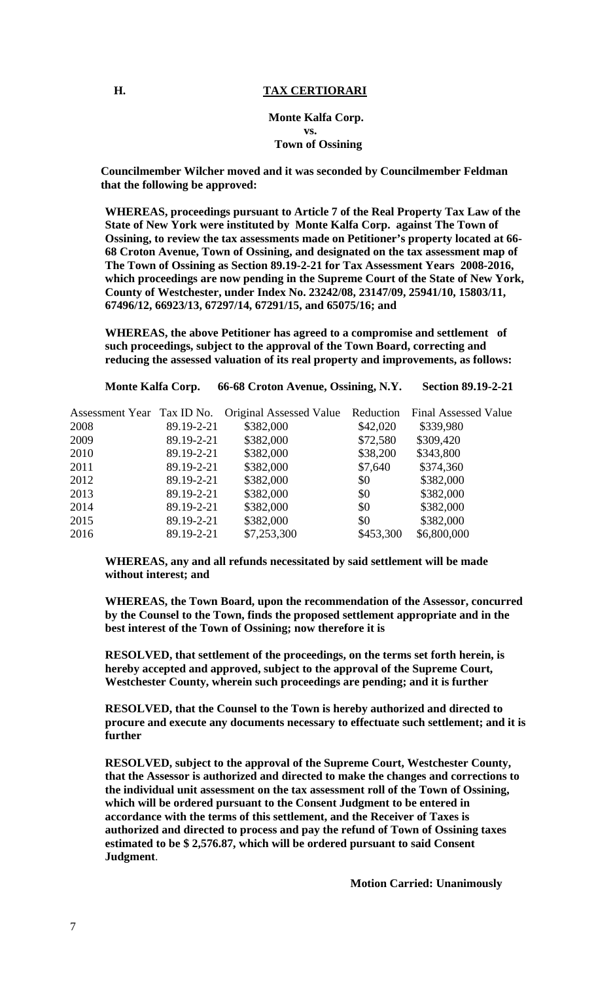## **H.** TAX CERTIORARI

#### **Monte Kalfa Corp. vs. Town of Ossining**

**Councilmember Wilcher moved and it was seconded by Councilmember Feldman that the following be approved:** 

**WHEREAS, proceedings pursuant to Article 7 of the Real Property Tax Law of the State of New York were instituted by Monte Kalfa Corp. against The Town of Ossining, to review the tax assessments made on Petitioner's property located at 66- 68 Croton Avenue, Town of Ossining, and designated on the tax assessment map of The Town of Ossining as Section 89.19-2-21 for Tax Assessment Years 2008-2016, which proceedings are now pending in the Supreme Court of the State of New York, County of Westchester, under Index No. 23242/08, 23147/09, 25941/10, 15803/11, 67496/12, 66923/13, 67297/14, 67291/15, and 65075/16; and** 

**WHEREAS, the above Petitioner has agreed to a compromise and settlement of such proceedings, subject to the approval of the Town Board, correcting and reducing the assessed valuation of its real property and improvements, as follows:** 

**Monte Kalfa Corp. 66-68 Croton Avenue, Ossining, N.Y. Section 89.19-2-21** 

|      |            | Assessment Year Tax ID No. Original Assessed Value | Reduction | <b>Final Assessed Value</b> |
|------|------------|----------------------------------------------------|-----------|-----------------------------|
| 2008 | 89.19-2-21 | \$382,000                                          | \$42,020  | \$339,980                   |
| 2009 | 89.19-2-21 | \$382,000                                          | \$72,580  | \$309,420                   |
| 2010 | 89.19-2-21 | \$382,000                                          | \$38,200  | \$343,800                   |
| 2011 | 89.19-2-21 | \$382,000                                          | \$7,640   | \$374,360                   |
| 2012 | 89.19-2-21 | \$382,000                                          | \$0       | \$382,000                   |
| 2013 | 89.19-2-21 | \$382,000                                          | \$0       | \$382,000                   |
| 2014 | 89.19-2-21 | \$382,000                                          | \$0       | \$382,000                   |
| 2015 | 89.19-2-21 | \$382,000                                          | \$0       | \$382,000                   |
| 2016 | 89.19-2-21 | \$7,253,300                                        | \$453,300 | \$6,800,000                 |

**WHEREAS, any and all refunds necessitated by said settlement will be made without interest; and** 

**WHEREAS, the Town Board, upon the recommendation of the Assessor, concurred by the Counsel to the Town, finds the proposed settlement appropriate and in the best interest of the Town of Ossining; now therefore it is** 

**RESOLVED, that settlement of the proceedings, on the terms set forth herein, is hereby accepted and approved, subject to the approval of the Supreme Court, Westchester County, wherein such proceedings are pending; and it is further** 

**RESOLVED, that the Counsel to the Town is hereby authorized and directed to procure and execute any documents necessary to effectuate such settlement; and it is further** 

**RESOLVED, subject to the approval of the Supreme Court, Westchester County, that the Assessor is authorized and directed to make the changes and corrections to the individual unit assessment on the tax assessment roll of the Town of Ossining, which will be ordered pursuant to the Consent Judgment to be entered in accordance with the terms of this settlement, and the Receiver of Taxes is authorized and directed to process and pay the refund of Town of Ossining taxes estimated to be \$ 2,576.87, which will be ordered pursuant to said Consent Judgment**.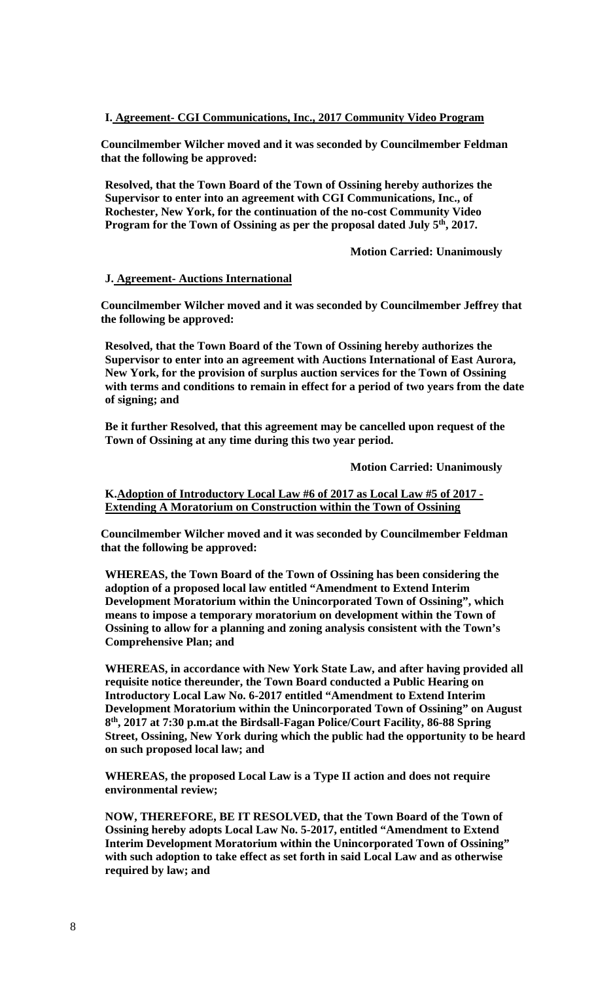### **I. Agreement- CGI Communications, Inc., 2017 Community Video Program**

**Councilmember Wilcher moved and it was seconded by Councilmember Feldman that the following be approved:** 

**Resolved, that the Town Board of the Town of Ossining hereby authorizes the Supervisor to enter into an agreement with CGI Communications, Inc., of Rochester, New York, for the continuation of the no-cost Community Video**  Program for the Town of Ossining as per the proposal dated July 5<sup>th</sup>, 2017.

 **Motion Carried: Unanimously** 

#### **J. Agreement- Auctions International**

**Councilmember Wilcher moved and it was seconded by Councilmember Jeffrey that the following be approved:** 

**Resolved, that the Town Board of the Town of Ossining hereby authorizes the Supervisor to enter into an agreement with Auctions International of East Aurora, New York, for the provision of surplus auction services for the Town of Ossining with terms and conditions to remain in effect for a period of two years from the date of signing; and** 

**Be it further Resolved, that this agreement may be cancelled upon request of the Town of Ossining at any time during this two year period.** 

 **Motion Carried: Unanimously** 

**K.Adoption of Introductory Local Law #6 of 2017 as Local Law #5 of 2017 - Extending A Moratorium on Construction within the Town of Ossining** 

**Councilmember Wilcher moved and it was seconded by Councilmember Feldman that the following be approved:** 

**WHEREAS, the Town Board of the Town of Ossining has been considering the adoption of a proposed local law entitled "Amendment to Extend Interim Development Moratorium within the Unincorporated Town of Ossining", which means to impose a temporary moratorium on development within the Town of Ossining to allow for a planning and zoning analysis consistent with the Town's Comprehensive Plan; and** 

**WHEREAS, in accordance with New York State Law, and after having provided all requisite notice thereunder, the Town Board conducted a Public Hearing on Introductory Local Law No. 6-2017 entitled "Amendment to Extend Interim Development Moratorium within the Unincorporated Town of Ossining" on August 8th, 2017 at 7:30 p.m.at the Birdsall-Fagan Police/Court Facility, 86-88 Spring Street, Ossining, New York during which the public had the opportunity to be heard on such proposed local law; and** 

**WHEREAS, the proposed Local Law is a Type II action and does not require environmental review;** 

**NOW, THEREFORE, BE IT RESOLVED, that the Town Board of the Town of Ossining hereby adopts Local Law No. 5-2017, entitled "Amendment to Extend Interim Development Moratorium within the Unincorporated Town of Ossining" with such adoption to take effect as set forth in said Local Law and as otherwise required by law; and**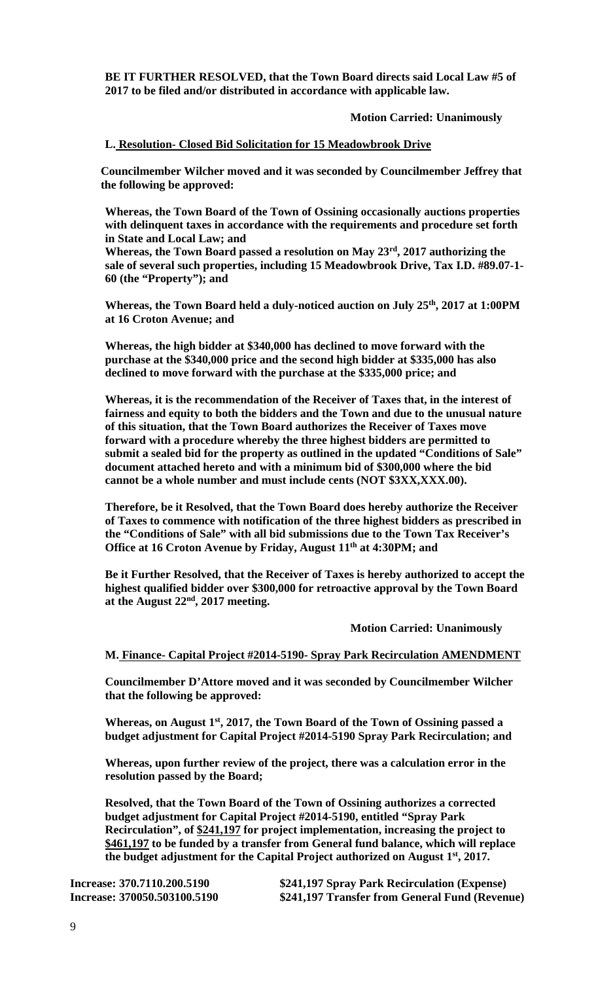**BE IT FURTHER RESOLVED, that the Town Board directs said Local Law #5 of 2017 to be filed and/or distributed in accordance with applicable law.** 

## **Motion Carried: Unanimously**

### **L. Resolution- Closed Bid Solicitation for 15 Meadowbrook Drive**

**Councilmember Wilcher moved and it was seconded by Councilmember Jeffrey that the following be approved:** 

**Whereas, the Town Board of the Town of Ossining occasionally auctions properties with delinquent taxes in accordance with the requirements and procedure set forth in State and Local Law; and** 

**Whereas, the Town Board passed a resolution on May 23rd, 2017 authorizing the sale of several such properties, including 15 Meadowbrook Drive, Tax I.D. #89.07-1- 60 (the "Property"); and** 

**Whereas, the Town Board held a duly-noticed auction on July 25th, 2017 at 1:00PM at 16 Croton Avenue; and** 

**Whereas, the high bidder at \$340,000 has declined to move forward with the purchase at the \$340,000 price and the second high bidder at \$335,000 has also declined to move forward with the purchase at the \$335,000 price; and** 

**Whereas, it is the recommendation of the Receiver of Taxes that, in the interest of fairness and equity to both the bidders and the Town and due to the unusual nature of this situation, that the Town Board authorizes the Receiver of Taxes move forward with a procedure whereby the three highest bidders are permitted to submit a sealed bid for the property as outlined in the updated "Conditions of Sale" document attached hereto and with a minimum bid of \$300,000 where the bid cannot be a whole number and must include cents (NOT \$3XX,XXX.00).** 

**Therefore, be it Resolved, that the Town Board does hereby authorize the Receiver of Taxes to commence with notification of the three highest bidders as prescribed in the "Conditions of Sale" with all bid submissions due to the Town Tax Receiver's**  Office at 16 Croton Avenue by Friday, August 11<sup>th</sup> at 4:30PM; and

**Be it Further Resolved, that the Receiver of Taxes is hereby authorized to accept the highest qualified bidder over \$300,000 for retroactive approval by the Town Board at the August 22nd, 2017 meeting.** 

 **Motion Carried: Unanimously** 

#### **M. Finance- Capital Project #2014-5190- Spray Park Recirculation AMENDMENT**

**Councilmember D'Attore moved and it was seconded by Councilmember Wilcher that the following be approved:** 

Whereas, on August 1<sup>st</sup>, 2017, the Town Board of the Town of Ossining passed a **budget adjustment for Capital Project #2014-5190 Spray Park Recirculation; and** 

**Whereas, upon further review of the project, there was a calculation error in the resolution passed by the Board;** 

**Resolved, that the Town Board of the Town of Ossining authorizes a corrected budget adjustment for Capital Project #2014-5190, entitled "Spray Park Recirculation", of \$241,197 for project implementation, increasing the project to \$461,197 to be funded by a transfer from General fund balance, which will replace the budget adjustment for the Capital Project authorized on August 1st, 2017.** 

**Increase: 370.7110.200.5190 \$241,197 Spray Park Recirculation (Expense) Increase: 370050.503100.5190 \$241,197 Transfer from General Fund (Revenue)**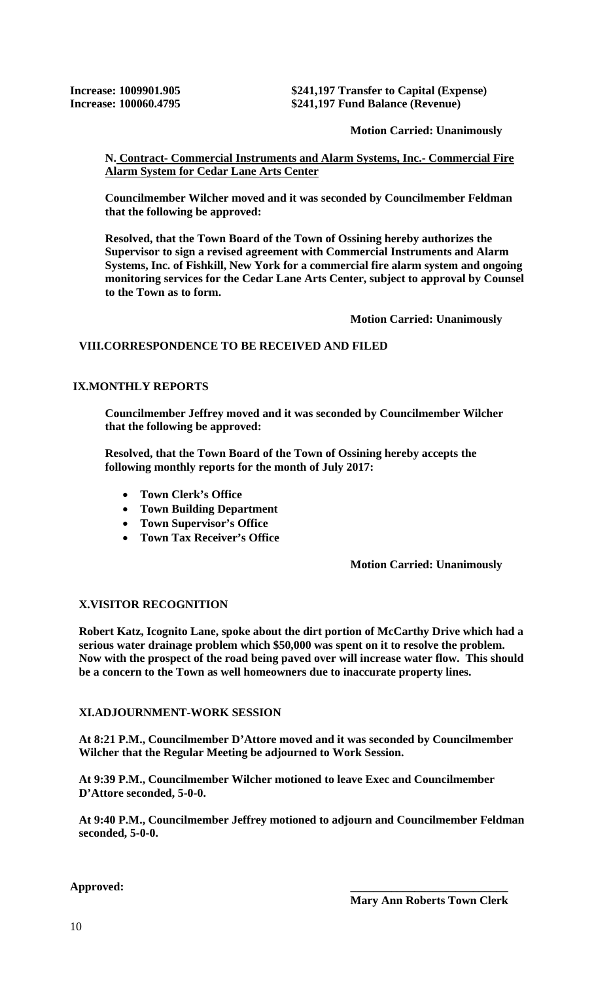**Increase: 1009901.905 \$241,197 Transfer to Capital (Expense) Increase: 100060.4795 \$241,197 Fund Balance (Revenue)** 

 **Motion Carried: Unanimously** 

**N. Contract- Commercial Instruments and Alarm Systems, Inc.- Commercial Fire Alarm System for Cedar Lane Arts Center** 

**Councilmember Wilcher moved and it was seconded by Councilmember Feldman that the following be approved:** 

**Resolved, that the Town Board of the Town of Ossining hereby authorizes the Supervisor to sign a revised agreement with Commercial Instruments and Alarm Systems, Inc. of Fishkill, New York for a commercial fire alarm system and ongoing monitoring services for the Cedar Lane Arts Center, subject to approval by Counsel to the Town as to form.** 

 **Motion Carried: Unanimously** 

# **VIII.CORRESPONDENCE TO BE RECEIVED AND FILED**

## **IX.MONTHLY REPORTS**

**Councilmember Jeffrey moved and it was seconded by Councilmember Wilcher that the following be approved:** 

**Resolved, that the Town Board of the Town of Ossining hereby accepts the following monthly reports for the month of July 2017:** 

- **Town Clerk's Office**
- **Town Building Department**
- **Town Supervisor's Office**
- **Town Tax Receiver's Office**

## **Motion Carried: Unanimously**

## **X.VISITOR RECOGNITION**

**Robert Katz, Icognito Lane, spoke about the dirt portion of McCarthy Drive which had a serious water drainage problem which \$50,000 was spent on it to resolve the problem. Now with the prospect of the road being paved over will increase water flow. This should be a concern to the Town as well homeowners due to inaccurate property lines.** 

## **XI.ADJOURNMENT-WORK SESSION**

**At 8:21 P.M., Councilmember D'Attore moved and it was seconded by Councilmember Wilcher that the Regular Meeting be adjourned to Work Session.** 

**At 9:39 P.M., Councilmember Wilcher motioned to leave Exec and Councilmember D'Attore seconded, 5-0-0.**

**At 9:40 P.M., Councilmember Jeffrey motioned to adjourn and Councilmember Feldman seconded, 5-0-0.** 

Approved: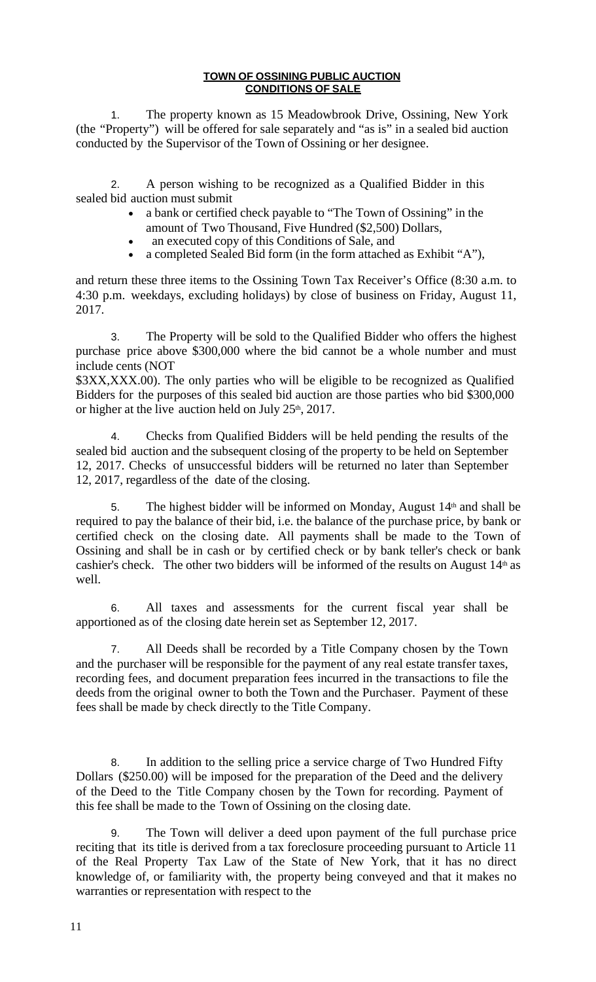## **TOWN OF OSSINING PUBLIC AUCTION CONDITIONS OF SALE**

1. The property known as 15 Meadowbrook Drive, Ossining, New York (the "Property") will be offered for sale separately and "as is" in a sealed bid auction conducted by the Supervisor of the Town of Ossining or her designee.

2. A person wishing to be recognized as a Qualified Bidder in this sealed bid auction must submit

- a bank or certified check payable to "The Town of Ossining" in the amount of Two Thousand, Five Hundred (\$2,500) Dollars,
- an executed copy of this Conditions of Sale, and
- a completed Sealed Bid form (in the form attached as Exhibit "A"),

and return these three items to the Ossining Town Tax Receiver's Office (8:30 a.m. to 4:30 p.m. weekdays, excluding holidays) by close of business on Friday, August 11, 2017.

3. The Property will be sold to the Qualified Bidder who offers the highest purchase price above \$300,000 where the bid cannot be a whole number and must include cents (NOT

\$3XX,XXX.00). The only parties who will be eligible to be recognized as Qualified Bidders for the purposes of this sealed bid auction are those parties who bid \$300,000 or higher at the live auction held on July  $25<sup>th</sup>$ , 2017.

4. Checks from Qualified Bidders will be held pending the results of the sealed bid auction and the subsequent closing of the property to be held on September 12, 2017. Checks of unsuccessful bidders will be returned no later than September 12, 2017, regardless of the date of the closing.

5. The highest bidder will be informed on Monday, August  $14<sup>th</sup>$  and shall be required to pay the balance of their bid, i.e. the balance of the purchase price, by bank or certified check on the closing date. All payments shall be made to the Town of Ossining and shall be in cash or by certified check or by bank teller's check or bank cashier's check. The other two bidders will be informed of the results on August  $14<sup>th</sup>$  as well.

6. All taxes and assessments for the current fiscal year shall be apportioned as of the closing date herein set as September 12, 2017.

7. All Deeds shall be recorded by a Title Company chosen by the Town and the purchaser will be responsible for the payment of any real estate transfer taxes, recording fees, and document preparation fees incurred in the transactions to file the deeds from the original owner to both the Town and the Purchaser. Payment of these fees shall be made by check directly to the Title Company.

8. In addition to the selling price a service charge of Two Hundred Fifty Dollars (\$250.00) will be imposed for the preparation of the Deed and the delivery of the Deed to the Title Company chosen by the Town for recording. Payment of this fee shall be made to the Town of Ossining on the closing date.

9. The Town will deliver a deed upon payment of the full purchase price reciting that its title is derived from a tax foreclosure proceeding pursuant to Article 11 of the Real Property Tax Law of the State of New York, that it has no direct knowledge of, or familiarity with, the property being conveyed and that it makes no warranties or representation with respect to the